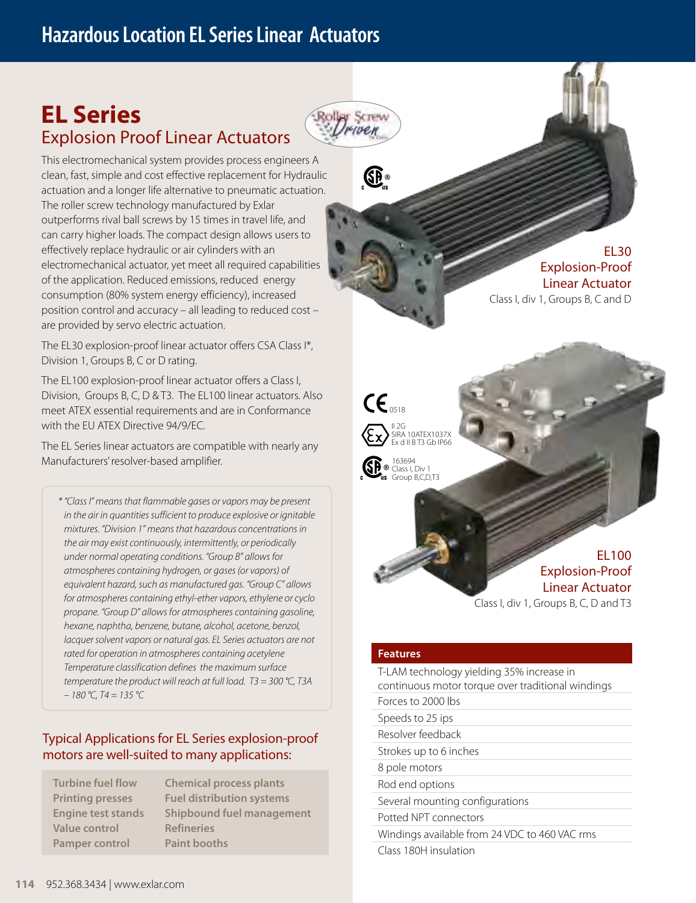# **Hazardous Location EL Series Linear Actuators**

# **EL Series**  Explosion Proof Linear Actuators



**G** 

This electromechanical system provides process engineers A clean, fast, simple and cost effective replacement for Hydraulic actuation and a longer life alternative to pneumatic actuation. The roller screw technology manufactured by Exlar outperforms rival ball screws by 15 times in travel life, and can carry higher loads. The compact design allows users to effectively replace hydraulic or air cylinders with an electromechanical actuator, yet meet all required capabilities of the application. Reduced emissions, reduced energy consumption (80% system energy efficiency), increased position control and accuracy – all leading to reduced cost – are provided by servo electric actuation.

The EL30 explosion-proof linear actuator offers CSA Class I\*, Division 1, Groups B, C or D rating.

The EL100 explosion-proof linear actuator offers a Class I, Division, Groups B, C, D & T3. The EL100 linear actuators. Also meet ATEX essential requirements and are in Conformance with the EU ATEX Directive 94/9/EC.

The EL Series linear actuators are compatible with nearly any Manufacturers' resolver-based amplifier.

*\* "Class I" means that flammable gases or vapors may be present in the air in quantities sufficient to produce explosive or ignitable mixtures. "Division 1" means that hazardous concentrations in the air may exist continuously, intermittently, or periodically under normal operating conditions. "Group B" allows for atmospheres containing hydrogen, or gases (or vapors) of equivalent hazard, such as manufactured gas. "Group C" allows for atmospheres containing ethyl-ether vapors, ethylene or cyclo propane. "Group D" allows for atmospheres containing gasoline, hexane, naphtha, benzene, butane, alcohol, acetone, benzol, lacquer solvent vapors or natural gas. EL Series actuators are not rated for operation in atmospheres containing acetylene Temperature classification defines the maximum surface temperature the product will reach at full load. T3 = 300 °C, T3A – 180 °C, T4 = 135 °C*

### Typical Applications for EL Series explosion-proof motors are well-suited to many applications:

**Turbine fuel flow Chemical process plants Value control Refineries Pamper control Paint booths**

**Printing presses Fuel distribution systems Engine test stands Shipbound fuel management**

EL30 Explosion-Proof Linear Actuator Class I, div 1, Groups B, C and D





EL100 Explosion-Proof Linear Actuator Class I, div 1, Groups B, C, D and T3

#### **Features**

Class 180H insulation

T-LAM technology yielding 35% increase in continuous motor torque over traditional windings Forces to 2000 lbs Speeds to 25 ips Resolver feedback Strokes up to 6 inches 8 pole motors Rod end options Several mounting configurations Potted NPT connectors Windings available from 24 VDC to 460 VAC rms

**114** 952.368.3434 | www.exlar.com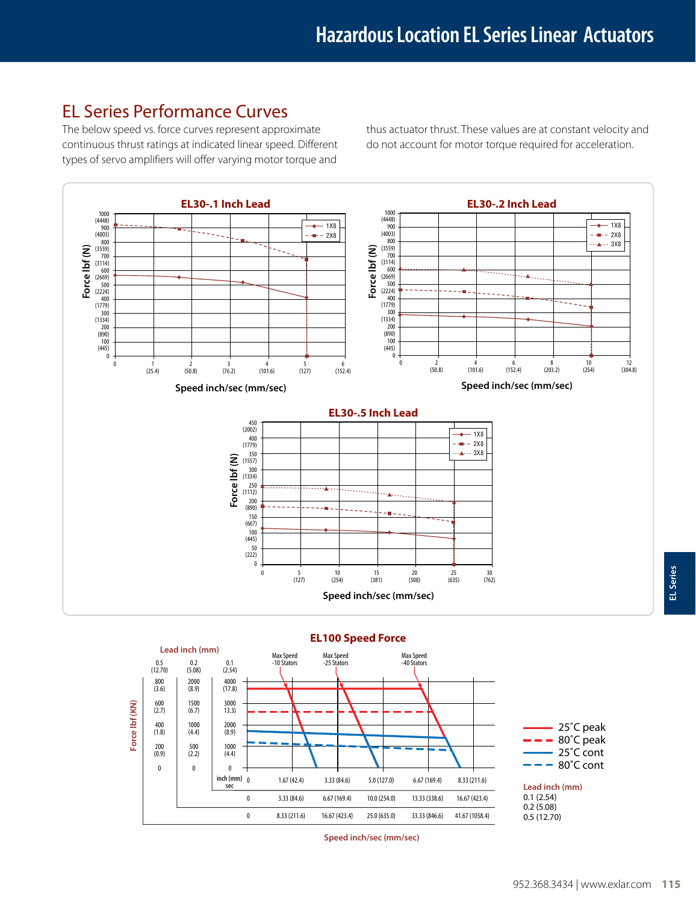### EL Series Performance Curves

The below speed vs. force curves represent approximate continuous thrust ratings at indicated linear speed. Different types of servo amplifiers will offer varying motor torque and

thus actuator thrust. These values are at constant velocity and do not account for motor torque required for acceleration.



#### **EL100 Speed Force**



**Speed inch/sec (mm/sec)**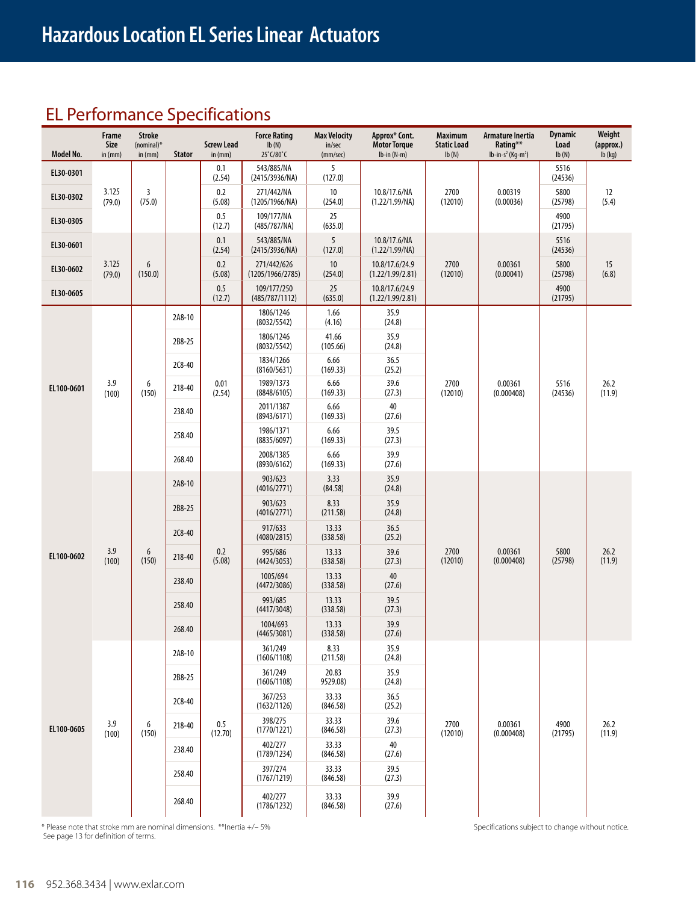# EL Performance Specifications

| Model No.  | Frame<br>Size<br>in $(mm)$ | <b>Stroke</b><br>$(nominal)^*$<br>in (mm) | <b>Stator</b>    | <b>Screw Lead</b><br>in (mm)                                                                                                                              | <b>Force Rating</b><br>lb(N)<br>25°C/80°C | <b>Max Velocity</b><br>in/sec<br>(mm/sec) | Approx* Cont.<br><b>Motor Torque</b><br>$lb-in(N-m)$ | <b>Maximum</b><br><b>Static Load</b><br>Ib(N) | Armature Inertia<br>Rating**<br>$lb-in-s^2$ (Kg-m <sup>2</sup> ) | <b>Dynamic</b><br>Load<br>lb(N) | Weight<br>(approx.)<br>$Ib$ (kg) |
|------------|----------------------------|-------------------------------------------|------------------|-----------------------------------------------------------------------------------------------------------------------------------------------------------|-------------------------------------------|-------------------------------------------|------------------------------------------------------|-----------------------------------------------|------------------------------------------------------------------|---------------------------------|----------------------------------|
| EL30-0301  |                            |                                           |                  | 0.1<br>(2.54)                                                                                                                                             | 543/885/NA<br>(2415/3936/NA)              | 5<br>(127.0)                              |                                                      |                                               |                                                                  | 5516<br>(24536)                 |                                  |
| EL30-0302  | 3.125<br>(79.0)            | 3<br>(75.0)                               |                  | 0.2<br>(5.08)                                                                                                                                             | 271/442/NA<br>(1205/1966/NA)              | 10<br>(254.0)                             | 10.8/17.6/NA<br>(1.22/1.99/NA)                       | 2700<br>(12010)                               | 0.00319<br>(0.00036)                                             | 5800<br>(25798)                 | 12<br>(5.4)                      |
| EL30-0305  |                            |                                           |                  | 0.5<br>(12.7)                                                                                                                                             | 109/177/NA<br>(485/787/NA)                | 25<br>(635.0)                             |                                                      |                                               |                                                                  | 4900<br>(21795)                 |                                  |
| EL30-0601  |                            |                                           |                  | 0.1<br>(2.54)                                                                                                                                             | 543/885/NA<br>(2415/3936/NA)              | 5<br>(127.0)                              | 10.8/17.6/NA<br>(1.22/1.99/NA)                       |                                               |                                                                  | 5516<br>(24536)                 |                                  |
| EL30-0602  | 3.125<br>(79.0)            | 6<br>(150.0)                              |                  | 0.2<br>(5.08)                                                                                                                                             | 271/442/626<br>(1205/1966/2785)           | 10<br>(254.0)                             | 10.8/17.6/24.9<br>(1.22/1.99/2.81)                   | 2700<br>(12010)                               | 0.00361<br>(0.00041)                                             | 5800<br>(25798)                 | 15<br>(6.8)                      |
| EL30-0605  |                            |                                           |                  | 0.5<br>(12.7)                                                                                                                                             | 109/177/250<br>(485/787/1112)             | 25<br>(635.0)                             | 10.8/17.6/24.9<br>(1.22/1.99/2.81)                   |                                               |                                                                  | 4900<br>(21795)                 |                                  |
|            |                            |                                           | 2A8-10           |                                                                                                                                                           | 1806/1246<br>(8032/5542)                  | 1.66<br>(4.16)                            | 35.9<br>(24.8)                                       |                                               |                                                                  |                                 |                                  |
|            |                            |                                           | 2B8-25           |                                                                                                                                                           | 1806/1246<br>(8032/5542)                  | 41.66<br>(105.66)                         | 35.9<br>(24.8)                                       |                                               |                                                                  |                                 | 26.2<br>(11.9)                   |
|            |                            |                                           | 2C8-40           |                                                                                                                                                           | 1834/1266<br>(8160/5631)                  | 6.66<br>(169.33)                          | 36.5<br>(25.2)                                       |                                               |                                                                  | 5516<br>(24536)                 |                                  |
| EL100-0601 | 3.9<br>(100)               | 6<br>(150)                                | 218-40           | 0.01<br>(2.54)                                                                                                                                            | 1989/1373<br>(8848/6105)                  | 6.66<br>(169.33)                          | 39.6<br>(27.3)                                       | 2700<br>(12010)                               | 0.00361<br>(0.000408)                                            |                                 |                                  |
|            |                            |                                           | 238.40           |                                                                                                                                                           | 2011/1387<br>(8943/6171)                  | 6.66<br>(169.33)                          | 40<br>(27.6)                                         |                                               |                                                                  |                                 |                                  |
|            |                            |                                           | 258.40           |                                                                                                                                                           | 1986/1371<br>(8835/6097)                  | 6.66<br>(169.33)                          | 39.5<br>(27.3)                                       |                                               |                                                                  |                                 |                                  |
|            |                            |                                           | 268.40           |                                                                                                                                                           | 2008/1385<br>(8930/6162)                  | 6.66<br>(169.33)                          | 39.9<br>(27.6)                                       |                                               |                                                                  |                                 |                                  |
|            |                            |                                           | 2A8-10           |                                                                                                                                                           | 903/623<br>(4016/2771)                    | 3.33<br>(84.58)                           | 35.9<br>(24.8)                                       |                                               |                                                                  |                                 |                                  |
|            |                            |                                           | 2B8-25           | 903/623<br>8.33<br>(4016/2771)<br>(211.58)<br>917/633<br>13.33<br>(4080/2815)<br>(338.58)<br>0.2<br>995/686<br>13.33<br>(5.08)<br>(4424/3053)<br>(338.58) | 35.9<br>(24.8)                            |                                           |                                                      |                                               |                                                                  |                                 |                                  |
|            |                            | 6<br>(150)                                | 2C8-40           |                                                                                                                                                           |                                           |                                           | 36.5<br>(25.2)                                       | 2700<br>(12010)                               | 0.00361<br>(0.000408)                                            | 5800<br>(25798)                 | 26.2<br>(11.9)                   |
| EL100-0602 | 3.9<br>(100)               |                                           | 218-40           |                                                                                                                                                           |                                           |                                           | 39.6<br>(27.3)                                       |                                               |                                                                  |                                 |                                  |
|            |                            |                                           | 238.40<br>258.40 |                                                                                                                                                           | 1005/694<br>(4472/3086)                   | 13.33<br>(338.58)                         | 40<br>(27.6)                                         |                                               |                                                                  |                                 |                                  |
|            |                            |                                           |                  |                                                                                                                                                           | 993/685<br>(4417/3048)                    | 13.33<br>(338.58)                         | 39.5<br>(27.3)                                       |                                               |                                                                  |                                 |                                  |
|            |                            |                                           | 268.40           |                                                                                                                                                           | 1004/693<br>(4465/3081)                   | 13.33<br>(338.58)                         | 39.9<br>(27.6)                                       |                                               |                                                                  |                                 |                                  |
|            |                            |                                           | 2A8-10           |                                                                                                                                                           | 361/249<br>(1606/1108)                    | 8.33<br>(211.58)                          | 35.9<br>(24.8)                                       |                                               |                                                                  |                                 |                                  |
|            |                            |                                           | 2B8-25           |                                                                                                                                                           | 361/249<br>(1606/1108)                    | 20.83<br>9529.08)                         | 35.9<br>(24.8)                                       |                                               |                                                                  |                                 |                                  |
|            |                            |                                           | $2C8 - 40$       |                                                                                                                                                           | 367/253<br>(1632/1126)                    | 33.33<br>(846.58)                         | 36.5<br>(25.2)                                       |                                               |                                                                  |                                 |                                  |
| EL100-0605 | 3.9<br>(100)               | 6<br>(150)                                | 218-40           | 0.5<br>(12.70)                                                                                                                                            | 398/275<br>(1770/1221)                    | 33.33<br>(846.58)                         | 39.6<br>(27.3)                                       | 2700<br>(12010)                               | 0.00361<br>(0.000408)                                            | 4900<br>(21795)                 | 26.2<br>(11.9)                   |
|            |                            |                                           | 238.40           |                                                                                                                                                           | 402/277<br>(1789/1234)                    | 33.33<br>(846.58)                         | 40<br>(27.6)                                         |                                               |                                                                  |                                 |                                  |
|            |                            |                                           | 258.40           |                                                                                                                                                           | 397/274<br>(1767/1219)                    | 33.33<br>(846.58)                         | 39.5<br>(27.3)                                       |                                               |                                                                  |                                 |                                  |
|            |                            |                                           | 268.40           |                                                                                                                                                           | 402/277<br>(1786/1232)                    | 33.33<br>(846.58)                         | 39.9<br>(27.6)                                       |                                               |                                                                  |                                 |                                  |

\* Please note that stroke mm are nominal dimensions. \*\*Inertia +/- 5% Specifications subject to change without notice. See page 13 for definition of terms.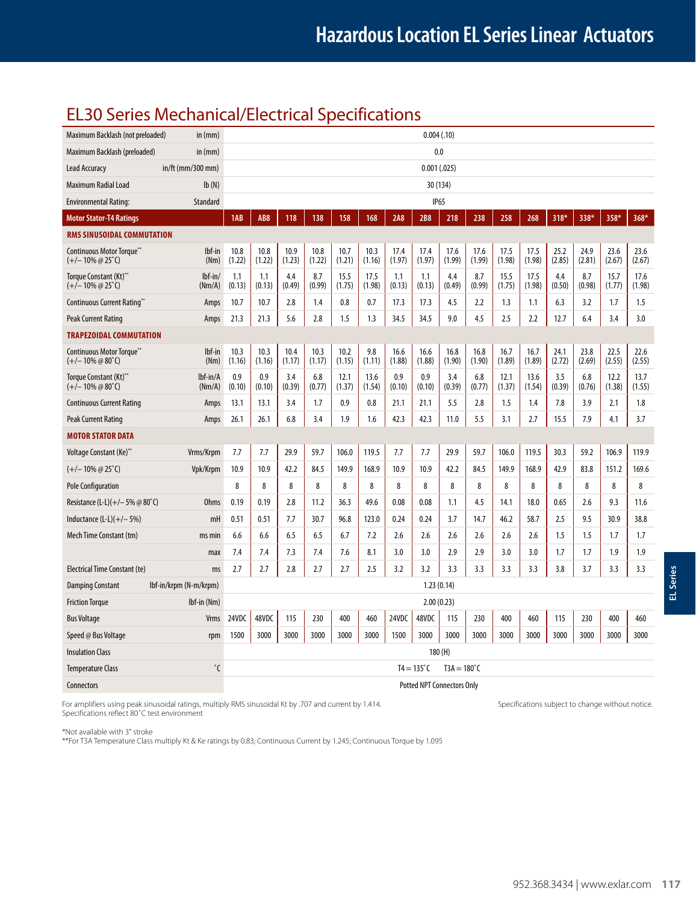### EL30 Series Mechanical/Electrical Specifications

| Maximum Backlash (not preloaded)                              |                        |                |                 |                |                |                |                                   | 0.004(0.10)    |                     |                      |                |                |                |                |                |                |                |
|---------------------------------------------------------------|------------------------|----------------|-----------------|----------------|----------------|----------------|-----------------------------------|----------------|---------------------|----------------------|----------------|----------------|----------------|----------------|----------------|----------------|----------------|
| Maximum Backlash (preloaded)                                  | in (mm)                |                |                 |                |                | 0.0            |                                   |                |                     |                      |                |                |                |                |                |                |                |
| <b>Lead Accuracy</b><br>$in/ft$ (mm/300 mm)                   |                        |                | 0.001(.025)     |                |                |                |                                   |                |                     |                      |                |                |                |                |                |                |                |
| Maximum Radial Load                                           | Ib(N)                  | 30 (134)       |                 |                |                |                |                                   |                |                     |                      |                |                |                |                |                |                |                |
| <b>Environmental Rating:</b>                                  | Standard               |                |                 |                |                |                |                                   |                |                     | IP <sub>65</sub>     |                |                |                |                |                |                |                |
| <b>Motor Stator-T4 Ratings</b>                                |                        | 1AB            | AB <sub>8</sub> | 118            | 138            | 158            | 168                               | 2A8            | <b>2B8</b>          | 218                  | 238            | 258            | 268            | 318*           | 338*           | 358*           | 368*           |
| RMS SINUSOIDAL COMMUTATION                                    |                        |                |                 |                |                |                |                                   |                |                     |                      |                |                |                |                |                |                |                |
| Continuous Motor Torque**<br>$(+/- 10\% \omega 25^{\circ}C)$  | lbf-in<br>(Nm)         | 10.8<br>(1.22) | 10.8<br>(1.22)  | 10.9<br>(1.23) | 10.8<br>(1.22) | 10.7<br>(1.21) | 10.3<br>(1.16)                    | 17.4<br>(1.97) | 17.4<br>(1.97)      | 17.6<br>(1.99)       | 17.6<br>(1.99) | 17.5<br>(1.98) | 17.5<br>(1.98) | 25.2<br>(2.85) | 24.9<br>(2.81) | 23.6<br>(2.67) | 23.6<br>(2.67) |
| Torque Constant (Kt)**<br>$(+/- 10\% \omega 25^{\circ}C)$     | $Ibf-in/$<br>(Nm/A)    | 1.1<br>(0.13)  | 1.1<br>(0.13)   | 4.4<br>(0.49)  | 8.7<br>(0.99)  | 15.5<br>(1.75) | 17.5<br>(1.98)                    | 1.1<br>(0.13)  | 1.1<br>(0.13)       | 4.4<br>(0.49)        | 8.7<br>(0.99)  | 15.5<br>(1.75) | 17.5<br>(1.98) | 4.4<br>(0.50)  | 8.7<br>(0.98)  | 15.7<br>(1.77) | 17.6<br>(1.98) |
| Continuous Current Rating**                                   | Amps                   | 10.7           | 10.7            | 2.8            | 1.4            | 0.8            | 0.7                               | 17.3           | 17.3                | 4.5                  | 2.2            | 1.3            | 1.1            | 6.3            | 3.2            | 1.7            | 1.5            |
| <b>Peak Current Rating</b>                                    | Amps                   | 21.3           | 21.3            | 5.6            | 2.8            | 1.5            | 1.3                               | 34.5           | 34.5                | 9.0                  | 4.5            | 2.5            | 2.2            | 12.7           | 6.4            | 3.4            | 3.0            |
| <b>TRAPEZOIDAL COMMUTATION</b>                                |                        |                |                 |                |                |                |                                   |                |                     |                      |                |                |                |                |                |                |                |
| Continuous Motor Torque**<br>$(+/- 10\% \oslash 80^{\circ}C)$ | lbf-in<br>(Nm)         | 10.3<br>(1.16) | 10.3<br>(1.16)  | 10.4<br>(1.17) | 10.3<br>(1.17) | 10.2<br>(1.15) | 9.8<br>(1.11)                     | 16.6<br>(1.88) | 16.6<br>(1.88)      | 16.8<br>(1.90)       | 16.8<br>(1.90) | 16.7<br>(1.89) | 16.7<br>(1.89) | 24.1<br>(2.72) | 23.8<br>(2.69) | 22.5<br>(2.55) | 22.6<br>(2.55) |
| Torque Constant (Kt)**<br>$(+/- 10\% \omega 80^{\circ}C)$     | $Ibf-in/A$<br>(Nm/A)   | 0.9<br>(0.10)  | 0.9<br>(0.10)   | 3.4<br>(0.39)  | 6.8<br>(0.77)  | 12.1<br>(1.37) | 13.6<br>(1.54)                    | 0.9<br>(0.10)  | 0.9<br>(0.10)       | 3.4<br>(0.39)        | 6.8<br>(0.77)  | 12.1<br>(1.37) | 13.6<br>(1.54) | 3.5<br>(0.39)  | 6.8<br>(0.76)  | 12.2<br>(1.38) | 13.7<br>(1.55) |
| <b>Continuous Current Rating</b>                              | Amps                   | 13.1           | 13.1            | 3.4            | 1.7            | 0.9            | 0.8                               | 21.1           | 21.1                | 5.5                  | 2.8            | 1.5            | 1.4            | 7.8            | 3.9            | 2.1            | 1.8            |
| Peak Current Rating                                           | Amps                   | 26.1           | 26.1            | 6.8            | 3.4            | 1.9            | 1.6                               | 42.3           | 42.3                | 11.0                 | 5.5            | 3.1            | 2.7            | 15.5           | 7.9            | 4.1            | 3.7            |
| <b>MOTOR STATOR DATA</b>                                      |                        |                |                 |                |                |                |                                   |                |                     |                      |                |                |                |                |                |                |                |
| Voltage Constant (Ke)**                                       | Vrms/Krpm              | 7.7            | 7.7             | 29.9           | 59.7           | 106.0          | 119.5                             | 7.7            | 7.7                 | 29.9                 | 59.7           | 106.0          | 119.5          | 30.3           | 59.2           | 106.9          | 119.9          |
| $(+/- 10\% \ @ 25\degree)$                                    | Vpk/Krpm               | 10.9           | 10.9            | 42.2           | 84.5           | 149.9          | 168.9                             | 10.9           | 10.9                | 42.2                 | 84.5           | 149.9          | 168.9          | 42.9           | 83.8           | 151.2          | 169.6          |
| <b>Pole Configuration</b>                                     |                        | 8              | 8               | 8              | 8              | 8              | 8                                 | 8              | 8                   | 8                    | 8              | 8              | 8              | 8              | 8              | 8              | 8              |
| Resistance (L-L)(+/- 5% @ 80°C)                               | <b>Ohms</b>            | 0.19           | 0.19            | 2.8            | 11.2           | 36.3           | 49.6                              | 0.08           | 0.08                | 1.1                  | 4.5            | 14.1           | 18.0           | 0.65           | 2.6            | 9.3            | 11.6           |
| Inductance $(L-L)(+/-5%)$                                     | mH                     | 0.51           | 0.51            | 7.7            | 30.7           | 96.8           | 123.0                             | 0.24           | 0.24                | 3.7                  | 14.7           | 46.2           | 58.7           | 2.5            | 9.5            | 30.9           | 38.8           |
| Mech Time Constant (tm)                                       | ms min                 | 6.6            | 6.6             | 6.5            | 6.5            | 6.7            | 7.2                               | 2.6            | 2.6                 | 2.6                  | 2.6            | 2.6            | 2.6            | 1.5            | 1.5            | 1.7            | 1.7            |
|                                                               | max                    | 7.4            | 7.4             | 7.3            | 7.4            | 7.6            | 8.1                               | 3.0            | 3.0                 | 2.9                  | 2.9            | 3.0            | 3.0            | 1.7            | 1.7            | 1.9            | 1.9            |
| Electrical Time Constant (te)                                 | ms                     | 2.7            | 2.7             | 2.8            | 2.7            | 2.7            | 2.5                               | 3.2            | 3.2                 | 3.3                  | 3.3            | 3.3            | 3.3            | 3.8            | 3.7            | 3.3            | 3.3            |
| <b>Damping Constant</b>                                       | lbf-in/krpm (N-m/krpm) |                |                 |                |                |                |                                   |                | 1.23(0.14)          |                      |                |                |                |                |                |                |                |
| <b>Friction Torque</b>                                        | $Ibf$ -in (Nm)         |                |                 |                |                |                |                                   |                | 2.00(0.23)          |                      |                |                |                |                |                |                |                |
| <b>Bus Voltage</b>                                            | Vrms                   | 24VDC          | 48VDC           | 115            | 230            | 400            | 460                               | 24VDC          | 48VDC               | 115                  | 230            | 400            | 460            | 115            | 230            | 400            | 460            |
| Speed @ Bus Voltage                                           | rpm                    | 1500           | 3000            | 3000           | 3000           | 3000           | 3000                              | 1500           | 3000                | 3000                 | 3000           | 3000           | 3000           | 3000           | 3000           | 3000           | 3000           |
| <b>Insulation Class</b>                                       |                        |                |                 |                |                |                |                                   |                |                     | 180(H)               |                |                |                |                |                |                |                |
| <b>Temperature Class</b>                                      | $^{\circ}$ C           |                |                 |                |                |                |                                   |                | $T4 = 135^{\circ}C$ | $T3A = 180^{\circ}C$ |                |                |                |                |                |                |                |
| Connectors                                                    |                        |                |                 |                |                |                | <b>Potted NPT Connectors Only</b> |                |                     |                      |                |                |                |                |                |                |                |

For amplifiers using peak sinusoidal ratings, multiply RMS sinusoidal Kt by .707 and current by 1.414. Specifications subject to change without notice. Specifications reflect 80˚C test environment

\*Not available with 3" stroke

\*\*For T3A Temperature Class multiply Kt & Ke ratings by 0.83; Continuous Current by 1.245; Continuous Torque by 1.095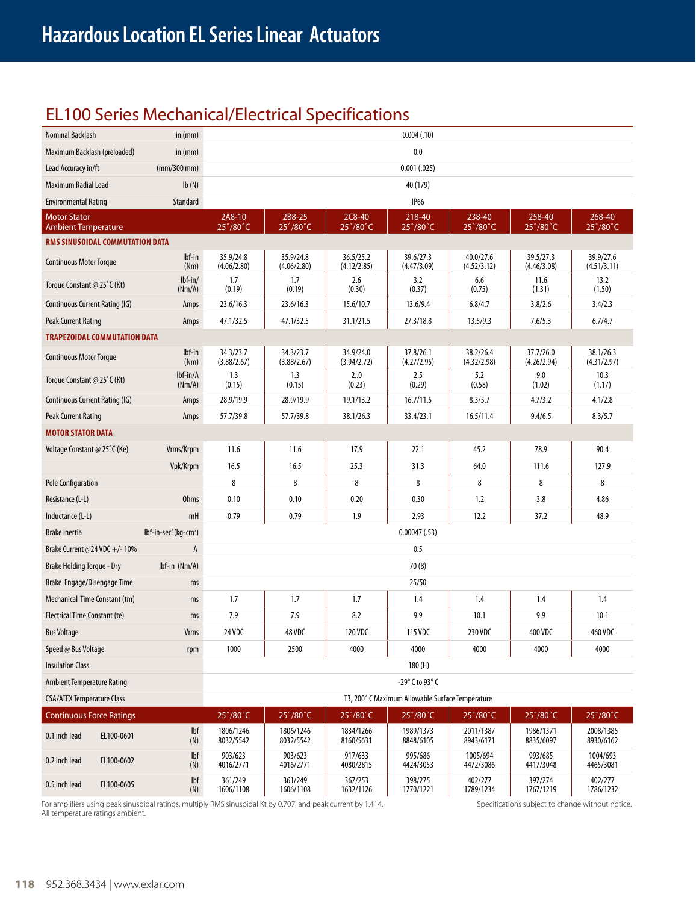## EL100 Series Mechanical/Electrical Specifications

| Nominal Backlash                                  |            | in $(mm)$                                     |                          |                                     |                          | 0.004(.10)                                       |                                     |                                     |                          |  |  |  |  |
|---------------------------------------------------|------------|-----------------------------------------------|--------------------------|-------------------------------------|--------------------------|--------------------------------------------------|-------------------------------------|-------------------------------------|--------------------------|--|--|--|--|
| Maximum Backlash (preloaded)                      |            | in $(mm)$                                     |                          |                                     |                          | 0.0                                              |                                     |                                     |                          |  |  |  |  |
| Lead Accuracy in/ft                               |            | (mm/300 mm)                                   |                          |                                     |                          | 0.001(.025)                                      |                                     |                                     |                          |  |  |  |  |
| Ib(N)<br>Maximum Radial Load                      |            |                                               | 40 (179)                 |                                     |                          |                                                  |                                     |                                     |                          |  |  |  |  |
| <b>Environmental Rating</b>                       |            | <b>Standard</b>                               |                          |                                     |                          | <b>IP66</b>                                      |                                     |                                     |                          |  |  |  |  |
| <b>Motor Stator</b><br><b>Ambient Temperature</b> |            |                                               | 2A8-10<br>25°/80°C       | 2B8-25<br>$25^{\circ}/80^{\circ}$ C | 2C8-40<br>25°/80°C       | 218-40<br>$25^{\circ}/80^{\circ}$ C              | 238-40<br>$25^{\circ}/80^{\circ}$ C | 258-40<br>$25^{\circ}/80^{\circ}$ C | 268-40<br>25°/80°C       |  |  |  |  |
| RMS SINUSOIDAL COMMUTATION DATA                   |            |                                               |                          |                                     |                          |                                                  |                                     |                                     |                          |  |  |  |  |
| <b>Continuous Motor Torque</b>                    |            | $Ibf$ -in<br>(Nm)                             | 35.9/24.8<br>(4.06/2.80) | 35.9/24.8<br>(4.06/2.80)            | 36.5/25.2<br>(4.12/2.85) | 39.6/27.3<br>(4.47/3.09)                         | 40.0/27.6<br>(4.52/3.12)            | 39.5/27.3<br>(4.46/3.08)            | 39.9/27.6<br>(4.51/3.11) |  |  |  |  |
| Torque Constant @ 25°C (Kt)                       |            | $Ibf-in/$<br>(Nm/A)                           | 1.7<br>(0.19)            | 1.7<br>(0.19)                       | 2.6<br>(0.30)            | 3.2<br>(0.37)                                    | 6.6<br>(0.75)                       | 11.6<br>(1.31)                      | 13.2<br>(1.50)           |  |  |  |  |
| Continuous Current Rating (IG)                    |            | Amps                                          | 23.6/16.3                | 23.6/16.3                           | 15.6/10.7                | 13.6/9.4                                         | 6.8/4.7                             | 3.8/2.6                             | 3.4/2.3                  |  |  |  |  |
| <b>Peak Current Rating</b>                        |            | Amps                                          | 47.1/32.5                | 47.1/32.5                           | 31.1/21.5                | 27.3/18.8                                        | 13.5/9.3                            | 7.6/5.3                             | 6.7/4.7                  |  |  |  |  |
| <b>TRAPEZOIDAL COMMUTATION DATA</b>               |            |                                               |                          |                                     |                          |                                                  |                                     |                                     |                          |  |  |  |  |
| <b>Continuous Motor Torque</b>                    |            | lbf-in<br>(Nm)                                | 34.3/23.7<br>(3.88/2.67) | 34.3/23.7<br>(3.88/2.67)            | 34.9/24.0<br>(3.94/2.72) | 37.8/26.1<br>(4.27/2.95)                         | 38.2/26.4<br>(4.32/2.98)            | 37.7/26.0<br>(4.26/2.94)            | 38.1/26.3<br>(4.31/2.97) |  |  |  |  |
| Torque Constant @ 25°C (Kt)                       |            | lbf-in/A<br>(Nm/A)                            | 1.3<br>(0.15)            | 1.3<br>(0.15)                       | 2.0<br>(0.23)            | 2.5<br>(0.29)                                    | 5.2<br>(0.58)                       | 9.0<br>(1.02)                       | 10.3<br>(1.17)           |  |  |  |  |
| Continuous Current Rating (IG)                    |            | Amps                                          | 28.9/19.9                | 28.9/19.9                           | 19.1/13.2                | 16.7/11.5                                        | 8.3/5.7                             | 4.7/3.2                             | 4.1/2.8                  |  |  |  |  |
| Peak Current Rating                               |            | Amps                                          | 57.7/39.8                | 57.7/39.8                           | 38.1/26.3                | 33.4/23.1                                        | 16.5/11.4                           | 9.4/6.5                             | 8.3/5.7                  |  |  |  |  |
| <b>MOTOR STATOR DATA</b>                          |            |                                               |                          |                                     |                          |                                                  |                                     |                                     |                          |  |  |  |  |
| Voltage Constant @ 25°C (Ke)                      |            | Vrms/Krpm                                     | 11.6                     | 11.6                                | 17.9                     | 22.1                                             | 45.2                                | 78.9                                | 90.4                     |  |  |  |  |
|                                                   |            | Vpk/Krpm                                      | 16.5                     | 16.5                                | 25.3                     | 31.3                                             | 64.0                                | 111.6                               | 127.9                    |  |  |  |  |
| <b>Pole Configuration</b>                         |            |                                               | 8                        | 8                                   | 8                        | 8                                                | 8                                   | 8                                   | 8                        |  |  |  |  |
| Resistance (L-L)                                  |            | <b>Ohms</b>                                   | 0.10                     | 0.10                                | 0.20                     | 0.30                                             | 1.2                                 | 3.8                                 | 4.86                     |  |  |  |  |
| Inductance (L-L)                                  |            | mH                                            | 0.79                     | 0.79                                | 1.9                      | 2.93                                             | 12.2                                | 37.2                                | 48.9                     |  |  |  |  |
| <b>Brake Inertia</b>                              |            | lbf-in-sec <sup>2</sup> (kg-cm <sup>2</sup> ) |                          |                                     |                          | 0.00047(.53)                                     |                                     |                                     |                          |  |  |  |  |
| Brake Current @24 VDC +/- 10%                     |            | A                                             |                          |                                     |                          | 0.5                                              |                                     |                                     |                          |  |  |  |  |
| Brake Holding Torque - Dry                        |            | $Ibf-in$ (Nm/A)                               | 70(8)                    |                                     |                          |                                                  |                                     |                                     |                          |  |  |  |  |
| Brake Engage/Disengage Time                       |            | ms                                            |                          |                                     |                          | 25/50                                            |                                     |                                     |                          |  |  |  |  |
| Mechanical Time Constant (tm)                     |            | ms                                            | 1.7                      | 1.7                                 | 1.7                      | 1.4                                              | 1.4                                 | 1.4                                 | 1.4                      |  |  |  |  |
| Electrical Time Constant (te)                     |            | ms                                            | 7.9                      | 7.9                                 | 8.2                      | 9.9                                              | 10.1                                | 9.9                                 | 10.1                     |  |  |  |  |
| <b>Bus Voltage</b>                                |            | <b>Vrms</b>                                   | 24 VDC                   | 48 VDC                              | 120 VDC                  | 115 VDC                                          | 230 VDC                             | 400 VDC                             | 460 VDC                  |  |  |  |  |
| Speed @ Bus Voltage                               |            | rpm                                           | 1000                     | 2500                                | 4000                     | 4000                                             | 4000                                | 4000                                | 4000                     |  |  |  |  |
| <b>Insulation Class</b>                           |            |                                               |                          |                                     |                          | 180 (H)                                          |                                     |                                     |                          |  |  |  |  |
| <b>Ambient Temperature Rating</b>                 |            |                                               | -29° C to 93° C          |                                     |                          |                                                  |                                     |                                     |                          |  |  |  |  |
| <b>CSA/ATEX Temperature Class</b>                 |            |                                               |                          |                                     |                          | T3, 200° C Maximum Allowable Surface Temperature |                                     |                                     |                          |  |  |  |  |
| <b>Continuous Force Ratings</b>                   |            |                                               | 25°/80°C                 | 25°/80°C                            | 25°/80°C                 | $25^{\circ}/80^{\circ}$ C                        | 25°/80°C                            | 25°/80°C                            | 25°/80°C                 |  |  |  |  |
| 0.1 inch lead                                     | EL100-0601 | lbf<br>(N)                                    | 1806/1246<br>8032/5542   | 1806/1246<br>8032/5542              | 1834/1266<br>8160/5631   | 1989/1373<br>8848/6105                           | 2011/1387<br>8943/6171              | 1986/1371<br>8835/6097              | 2008/1385<br>8930/6162   |  |  |  |  |
| 0.2 inch lead                                     | EL100-0602 | lbf<br>(N)                                    | 903/623<br>4016/2771     | 903/623<br>4016/2771                | 917/633<br>4080/2815     | 995/686<br>4424/3053                             | 1005/694<br>4472/3086               | 993/685<br>4417/3048                | 1004/693<br>4465/3081    |  |  |  |  |
| 0.5 inch lead                                     | EL100-0605 | lbf<br>(N)                                    | 361/249<br>1606/1108     | 361/249<br>1606/1108                | 367/253<br>1632/1126     | 398/275<br>1770/1221                             | 402/277<br>1789/1234                | 397/274<br>1767/1219                | 402/277<br>1786/1232     |  |  |  |  |

For amplifiers using peak sinusoidal ratings, multiply RMS sinusoidal Kt by 0.707, and peak current by 1.414. Specifications subject to change without notice. All temperature ratings ambient.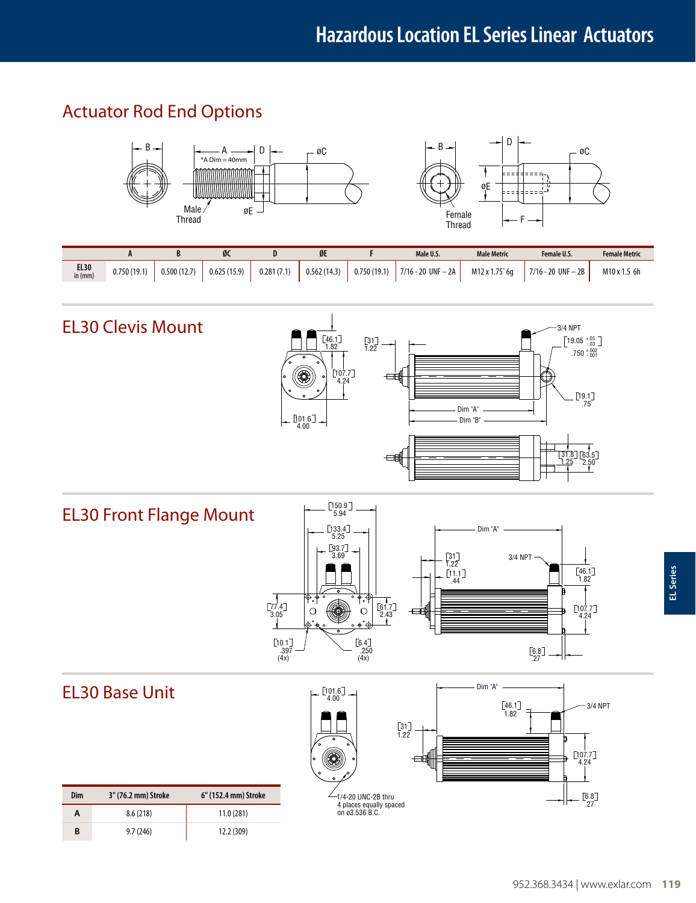### Actuator Rod End Options



|                   |             |             | øι          |            | ØE          |             | Male U.S.              | <b>Male Metric</b> | Female U.S.              | <b>Female Metric</b> |
|-------------------|-------------|-------------|-------------|------------|-------------|-------------|------------------------|--------------------|--------------------------|----------------------|
| $EL30$<br>in (mm) | 0.750(19.1) | 0.500(12.7) | 0.625(15.9) | 0.281(7.1) | 0.562(14.3) | 0.750(19.1) | $7/16 - 20$ UNF $- 2A$ | M12 x 1.75* 6a     | $'$ 7/16 - 20 UNF - 2B + | M10 x 1.5 6h         |



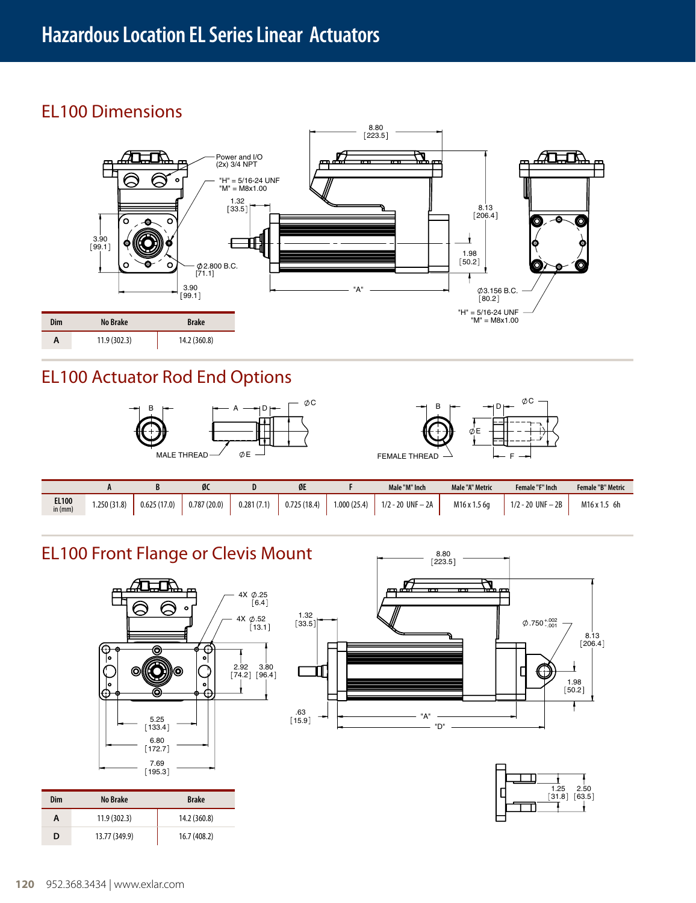### EL100 Dimensions



### EL100 Actuator Rod End Options





|                           | $\mathbf{r}$ |             | ØС          |            | ØE          |             | Male "M" Inch         | Male "A" Metric | Female "F" Inch   | <b>Female "B" Metric</b> |
|---------------------------|--------------|-------------|-------------|------------|-------------|-------------|-----------------------|-----------------|-------------------|--------------------------|
| <b>EL100</b><br>in $(mm)$ | 1.250(31.8)  | 0.625(17.0) | 0.787(20.0) | 0.281(7.1) | 0.725(18.4) | 1.000(25.4) | $1/2 - 20$ UNF $- 2A$ | M16 x 1.5 6a    | 1/2 - 20 UNF - 2B | M <sub>16</sub> x 1.5 6h |

### EL100 Front Flange or Clevis Mount



| Dim | No Brake      | <b>Brake</b> |
|-----|---------------|--------------|
| Α   | 11.9(302.3)   | 14.2 (360.8) |
| D   | 13.77 (349.9) | 16.7 (408.2) |



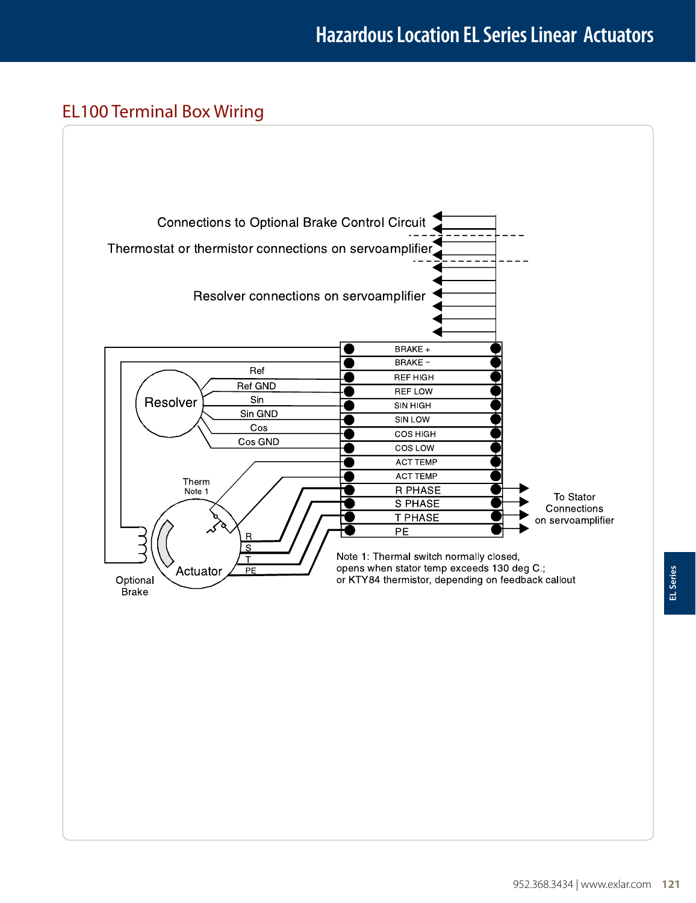### EL100 Terminal Box Wiring

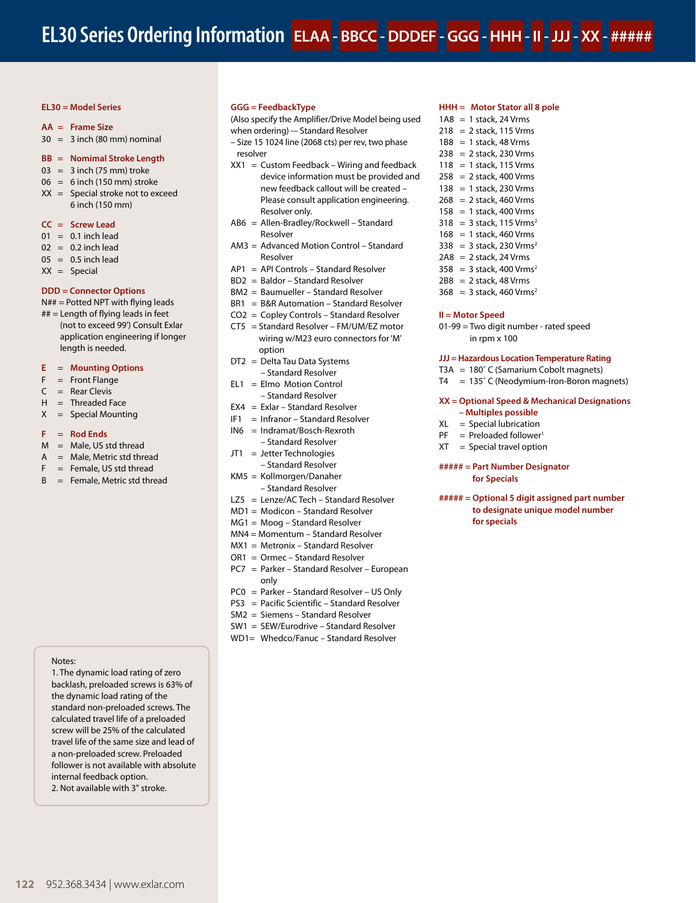#### **EL30 = Model Series**

#### **AA = Frame Size**

 $30 = 3$  inch (80 mm) nominal

#### **BB = Nomimal Stroke Length**

- $03 = 3$  inch (75 mm) troke
- $06 = 6$  inch (150 mm) stroke
- $XX =$  Special stroke not to exceed 6 inch (150 mm)

#### **CC = Screw Lead**

- $01 = 0.1$  inch lead
- $02 = 0.2$  inch lead
- $05 = 0.5$  inch lead
- $XX =$  Special

#### **DDD = Connector Options**

 $N## =$  Potted NPT with flying leads

## = Length of flying leads in feet (not to exceed 99') Consult Exlar application engineering if longer length is needed.

#### **E = Mounting Options**

- $F =$  Front Flange
- $C =$ Rear Clevis
- $H =$ Threaded Face
- $X =$  Special Mounting

#### **F = Rod Ends**

- $M = Male$ , US std thread
- $A = Male$ , Metric std thread
- $F =$  Female, US std thread
- B = Female, Metric std thread

#### Notes:

1. The dynamic load rating of zero backlash, preloaded screws is 63% of the dynamic load rating of the standard non-preloaded screws. The calculated travel life of a preloaded screw will be 25% of the calculated travel life of the same size and lead of a non-preloaded screw. Preloaded follower is not available with absolute internal feedback option.

2. Not available with 3" stroke.

#### **GGG = FeedbackType**

(Also specify the Amplifier/Drive Model being used

- when ordering) -– Standard Resolver
- Size 15 1024 line (2068 cts) per rev, two phase resolver
- $XX1 =$  Custom Feedback Wiring and feedback device information must be provided and new feedback callout will be created – Please consult application engineering. Resolver only.
- AB6 = Allen-Bradley/Rockwell Standard Resolver
- AM3 = Advanced Motion Control Standard Resolver
- AP1 = API Controls Standard Resolver
- BD2 = Baldor Standard Resolver
- BM2 = Baumueller Standard Resolver
- BR1 = B&R Automation Standard Resolver
- CO2 = Copley Controls Standard Resolver
- CT5 = Standard Resolver FM/UM/EZ motor wiring w/M23 euro connectors for 'M' option
- DT2 = Delta Tau Data Systems – Standard Resolver
- $EL1 = Elmo Motion Control$ – Standard Resolver
- EX4 = Exlar Standard Resolver
- IF1 = Infranor Standard Resolver
- IN6 = Indramat/Bosch-Rexroth
- Standard Resolver
- JT1 = Jetter Technologies
- Standard Resolver KM5 = Kollmorgen/Danaher
- Standard Resolver
- LZ5 = Lenze/AC Tech Standard Resolver
- MD1 = Modicon Standard Resolver
- MG1 = Moog Standard Resolver
- MN4 = Momentum Standard Resolver
- MX1 = Metronix Standard Resolver
- OR1 = Ormec Standard Resolver
- PC7 = Parker Standard Resolver European only
- PC0 = Parker Standard Resolver US Only
- PS3 = Pacific Scientific Standard Resolver
- SM2 = Siemens Standard Resolver
- SW1 = SEW/Eurodrive Standard Resolver
- WD1= Whedco/Fanuc Standard Resolver

#### **HHH = Motor Stator all 8 pole**

- 1A8 = 1 stack, 24 Vrms  $218 = 2$  stack, 115 Vrms  $1B8 = 1$  stack, 48 Vrms 238 = 2 stack, 230 Vrms  $118 = 1$  stack, 115 Vrms  $258 = 2$  stack, 400 Vrms 138 = 1 stack, 230 Vrms  $268 = 2$  stack, 460 Vrms 158 = 1 stack, 400 Vrms  $318 = 3$  stack, 115 Vrms<sup>2</sup>
- 
- $168 = 1$  stack, 460 Vrms
- $338 = 3$  stack, 230 Vrms<sup>2</sup>
- $2A8 = 2$  stack, 24 Vrms
- $358 = 3$  stack, 400 Vrms<sup>2</sup>
- $2B8 = 2$  stack, 48 Vrms
- $368 = 3$  stack, 460 Vrms<sup>2</sup>

#### **II = Motor Speed**

01-99 = Two digit number - rated speed in rpm x 100

#### **JJJ = Hazardous Location Temperature Rating**

- T3A = 180˚ C (Samarium Cobolt magnets)
- T4 = 135˚ C (Neodymium-Iron-Boron magnets)

#### **XX = Optional Speed & Mechanical Designations – Multiples possible**

- XL = Special lubrication
- $PF$  = Preloaded follower<sup>1</sup>
- 
- $XT = Special travel option$

#### **##### = Part Number Designator for Specials**

**##### = Optional 5 digit assigned part number to designate unique model number for specials**